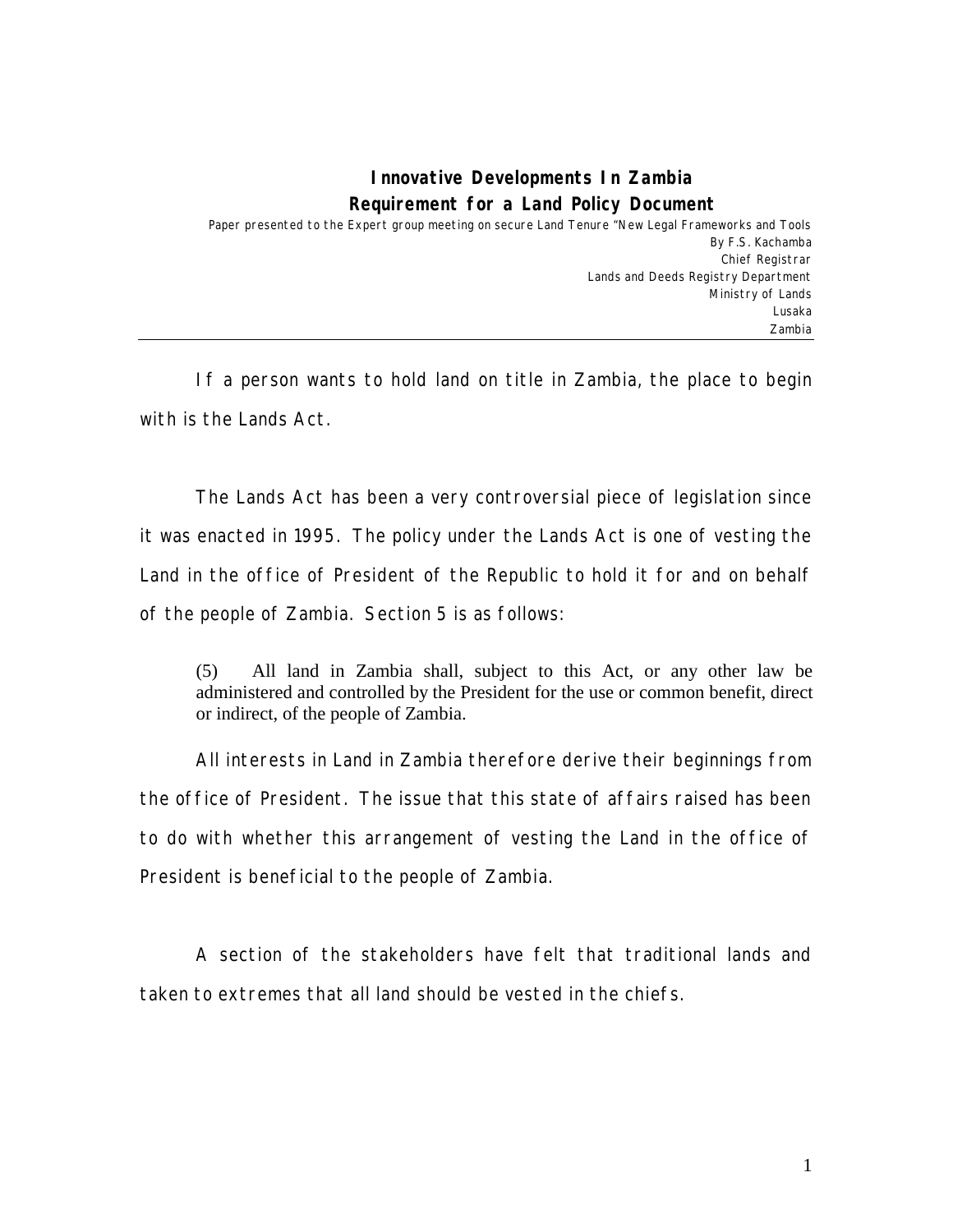## **Innovative Developments In Zambia Requirement for a Land Policy Document**

Paper presented to the Expert group meeting on secure Land Tenure "New Legal Frameworks and Tools By F.S. Kachamba Chief Registrar Lands and Deeds Registry Department Ministry of Lands Lusaka Zambia

If a person wants to hold land on title in Zambia, the place to begin with is the Lands Act.

The Lands Act has been a very controversial piece of legislation since it was enacted in 1995. The policy under the Lands Act is one of vesting the Land in the office of President of the Republic to hold it for and on behalf of the people of Zambia. Section 5 is as follows:

(5) All land in Zambia shall, subject to this Act, or any other law be administered and controlled by the President for the use or common benefit, direct or indirect, of the people of Zambia.

All interests in Land in Zambia therefore derive their beginnings from the office of President. The issue that this state of affairs raised has been to do with whether this arrangement of vesting the Land in the office of President is beneficial to the people of Zambia.

A section of the stakeholders have felt that traditional lands and taken to extremes that all land should be vested in the chiefs.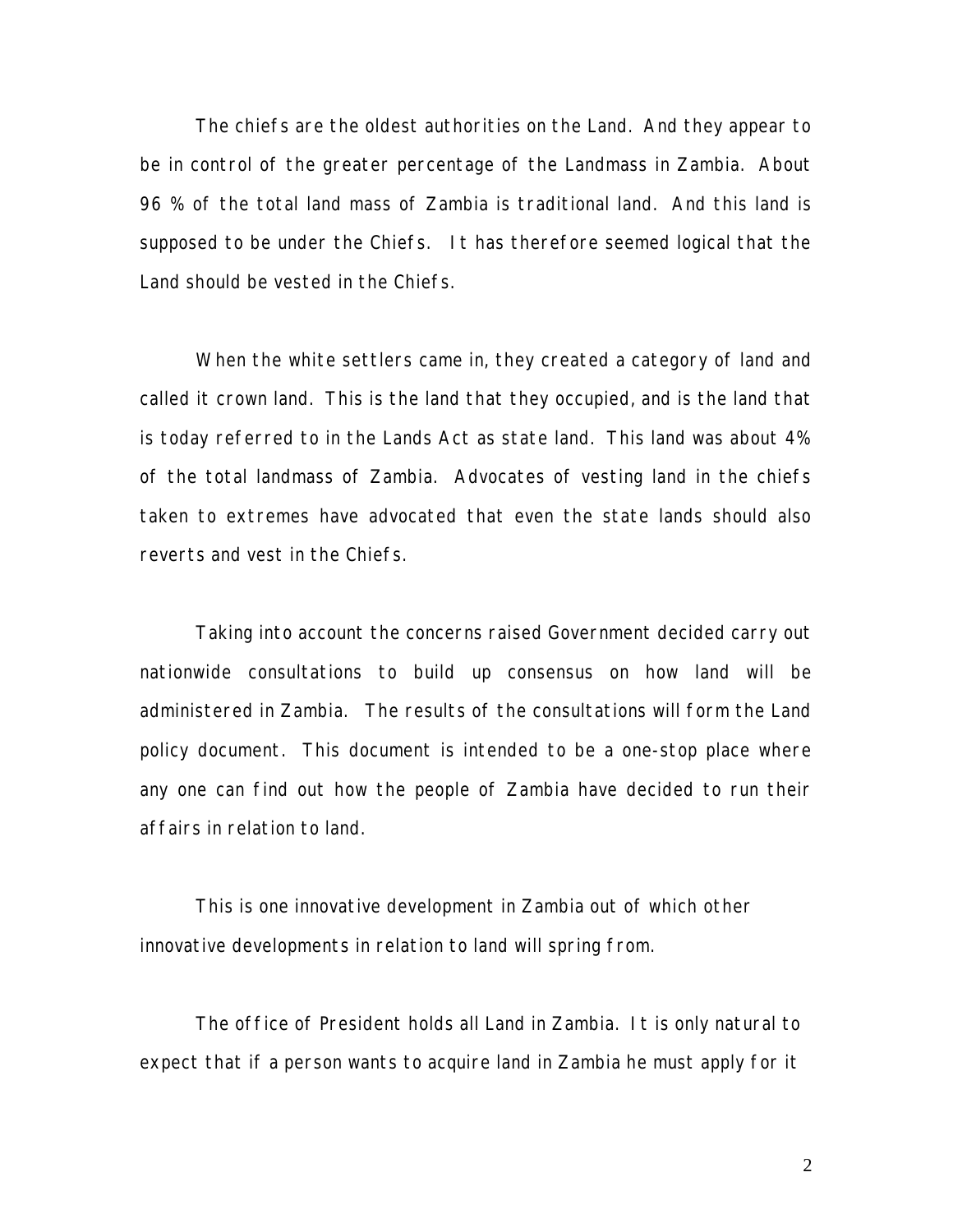The chiefs are the oldest authorities on the Land. And they appear to be in control of the greater percentage of the Landmass in Zambia. About 96 % of the total land mass of Zambia is traditional land. And this land is supposed to be under the Chiefs. It has therefore seemed logical that the Land should be vested in the Chiefs.

When the white settlers came in, they created a category of land and called it crown land. This is the land that they occupied, and is the land that is today referred to in the Lands Act as state land. This land was about 4% of the total landmass of Zambia. Advocates of vesting land in the chiefs taken to extremes have advocated that even the state lands should also reverts and vest in the Chiefs.

Taking into account the concerns raised Government decided carry out nationwide consultations to build up consensus on how land will be administered in Zambia. The results of the consultations will form the Land policy document. This document is intended to be a one-stop place where any one can find out how the people of Zambia have decided to run their affairs in relation to land.

This is one innovative development in Zambia out of which other innovative developments in relation to land will spring from.

The office of President holds all Land in Zambia. It is only natural to expect that if a person wants to acquire land in Zambia he must apply for it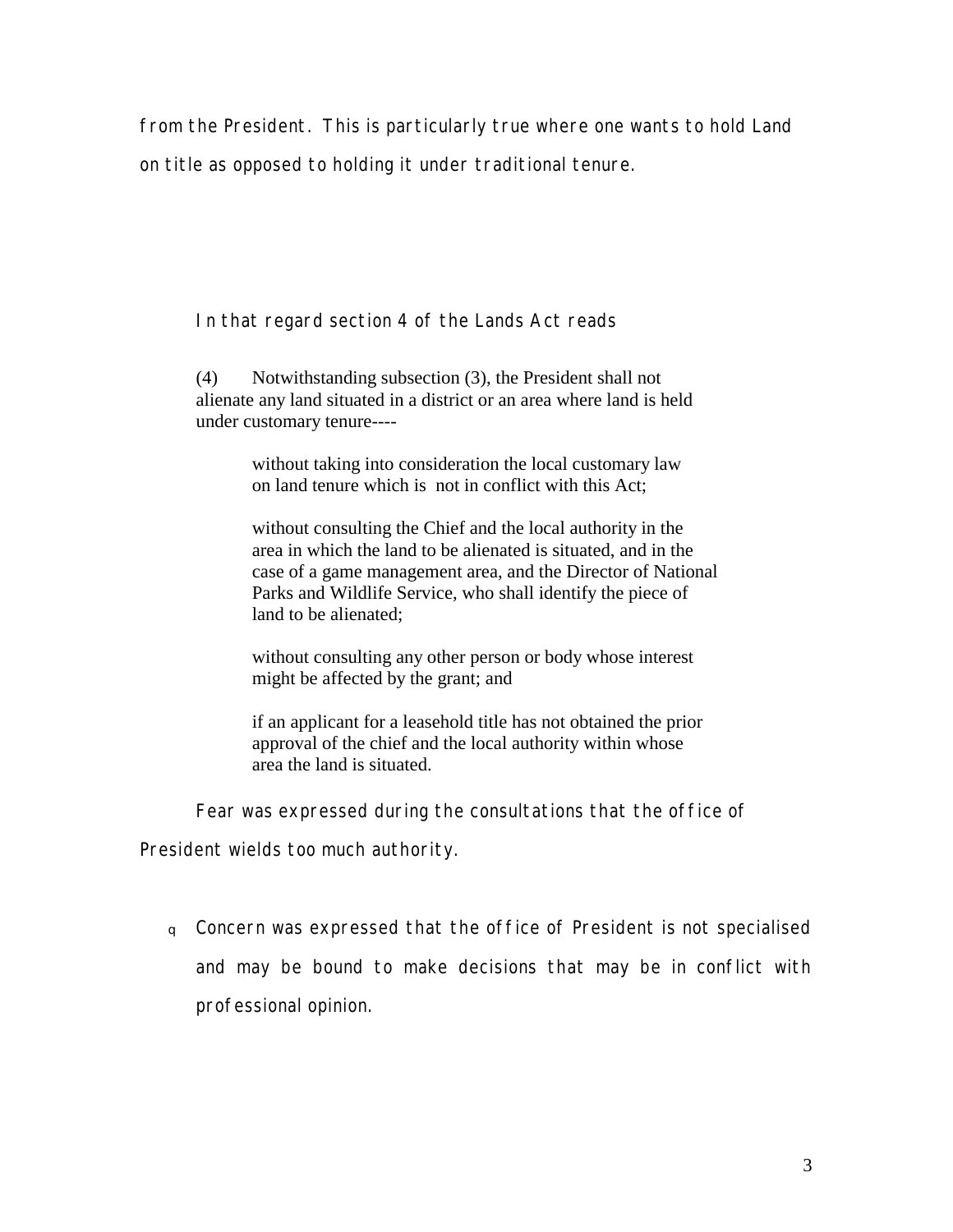from the President. This is particularly true where one wants to hold Land on title as opposed to holding it under traditional tenure.

In that regard section 4 of the Lands Act reads

(4) Notwithstanding subsection (3), the President shall not alienate any land situated in a district or an area where land is held under customary tenure----

> without taking into consideration the local customary law on land tenure which is not in conflict with this Act;

 without consulting the Chief and the local authority in the area in which the land to be alienated is situated, and in the case of a game management area, and the Director of National Parks and Wildlife Service, who shall identify the piece of land to be alienated;

 without consulting any other person or body whose interest might be affected by the grant; and

 if an applicant for a leasehold title has not obtained the prior approval of the chief and the local authority within whose area the land is situated.

Fear was expressed during the consultations that the office of

President wields too much authority.

<sup>q</sup>Concern was expressed that the office of President is not specialised and may be bound to make decisions that may be in conflict with professional opinion.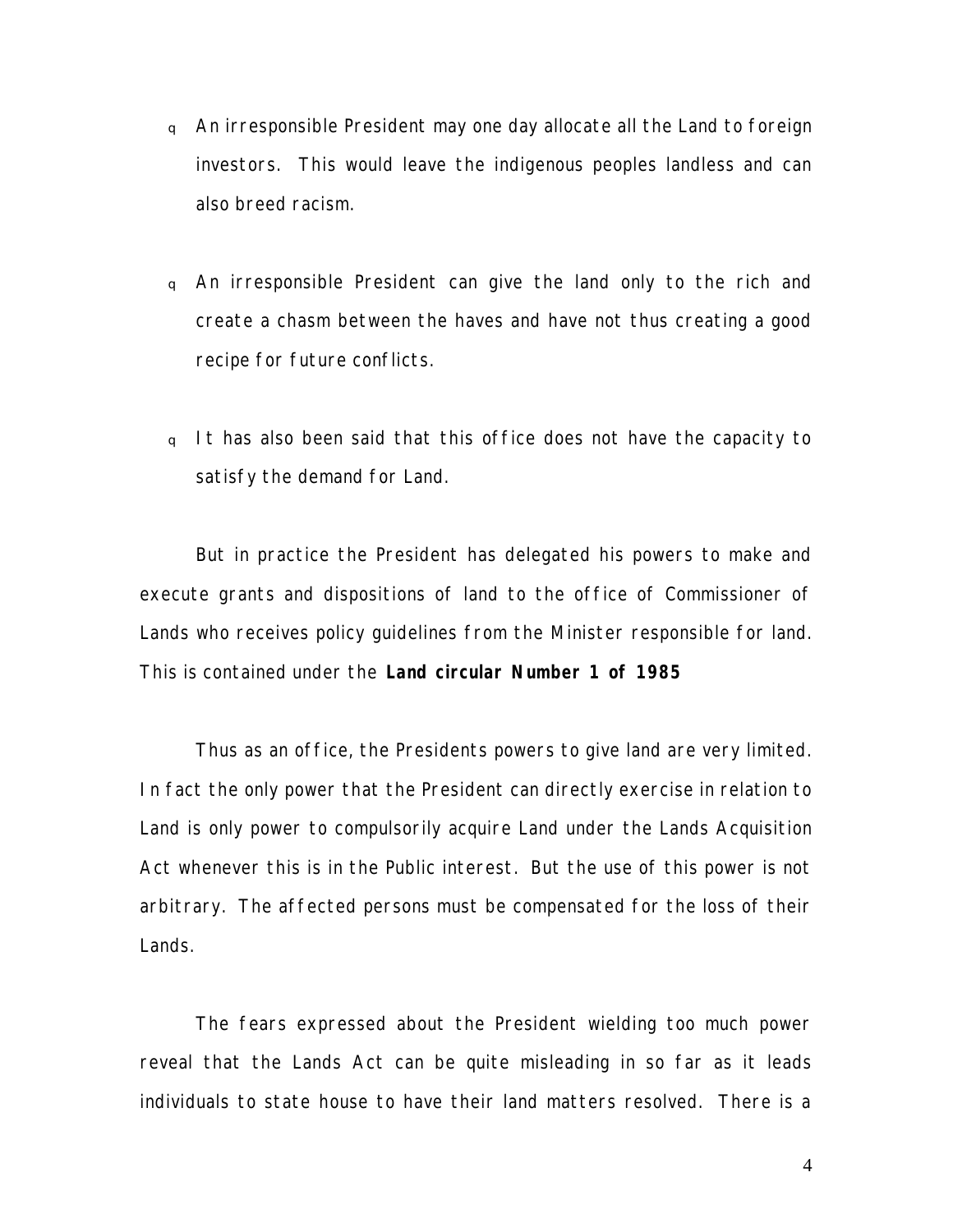- <sup>q</sup>An irresponsible President may one day allocate all the Land to foreign investors. This would leave the indigenous peoples landless and can also breed racism.
- <sup>q</sup>An irresponsible President can give the land only to the rich and create a chasm between the haves and have not thus creating a good recipe for future conflicts.
- q It has also been said that this office does not have the capacity to satisfy the demand for Land.

But in practice the President has delegated his powers to make and execute grants and dispositions of land to the office of Commissioner of Lands who receives policy guidelines from the Minister responsible for land. This is contained under the **Land circular Number 1 of 1985**

Thus as an office, the Presidents powers to give land are very limited. In fact the only power that the President can directly exercise in relation to Land is only power to compulsorily acquire Land under the Lands Acquisition Act whenever this is in the Public interest. But the use of this power is not arbitrary. The affected persons must be compensated for the loss of their Lands.

The fears expressed about the President wielding too much power reveal that the Lands Act can be quite misleading in so far as it leads individuals to state house to have their land matters resolved. There is a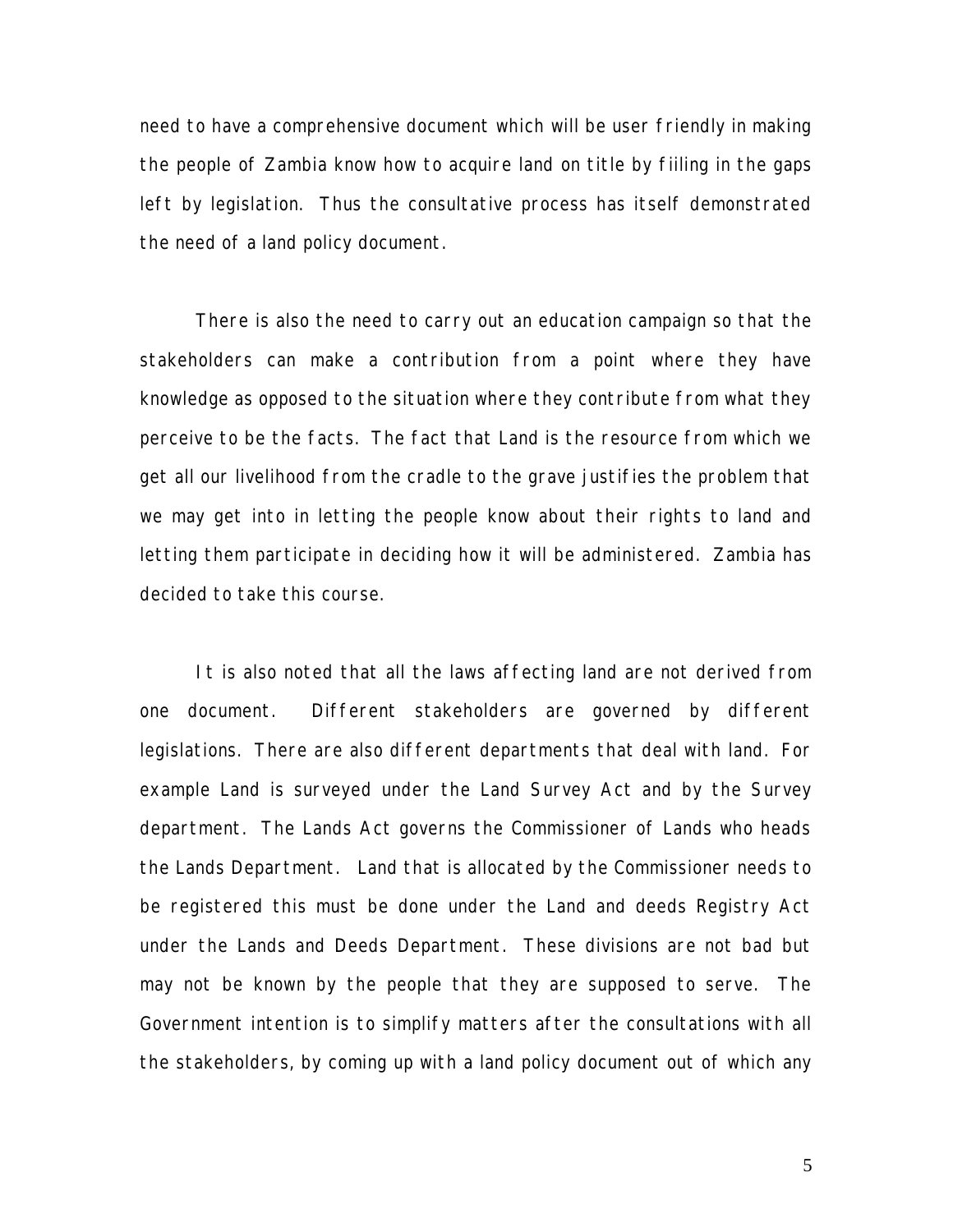need to have a comprehensive document which will be user friendly in making the people of Zambia know how to acquire land on title by fiiling in the gaps left by legislation. Thus the consultative process has itself demonstrated the need of a land policy document.

There is also the need to carry out an education campaign so that the stakeholders can make a contribution from a point where they have knowledge as opposed to the situation where they contribute from what they perceive to be the facts. The fact that Land is the resource from which we get all our livelihood from the cradle to the grave justifies the problem that we may get into in letting the people know about their rights to land and letting them participate in deciding how it will be administered. Zambia has decided to take this course.

It is also noted that all the laws affecting land are not derived from one document. Different stakeholders are governed by different legislations. There are also different departments that deal with land. For example Land is surveyed under the Land Survey Act and by the Survey department. The Lands Act governs the Commissioner of Lands who heads the Lands Department. Land that is allocated by the Commissioner needs to be registered this must be done under the Land and deeds Registry Act under the Lands and Deeds Department. These divisions are not bad but may not be known by the people that they are supposed to serve. The Government intention is to simplify matters after the consultations with all the stakeholders, by coming up with a land policy document out of which any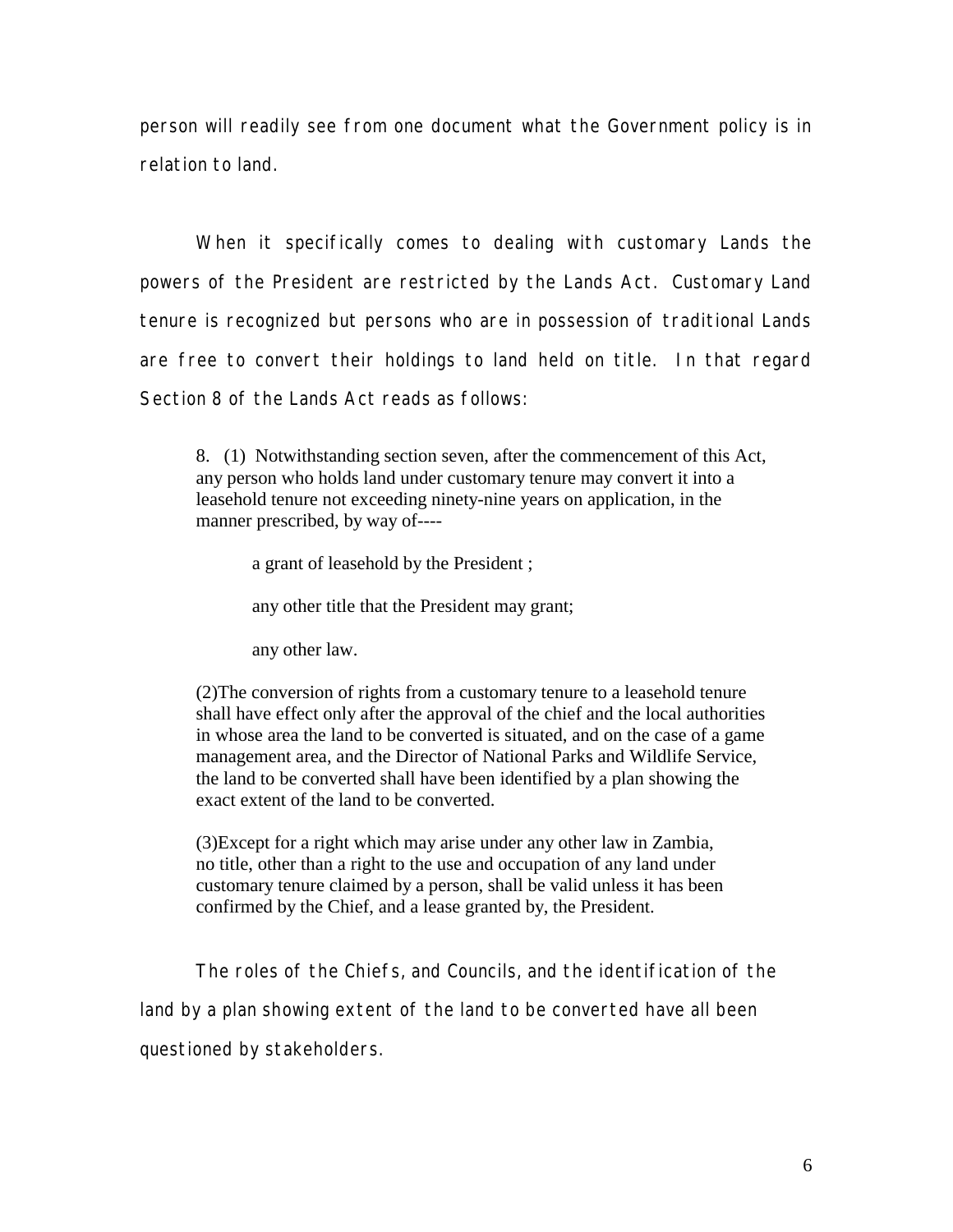person will readily see from one document what the Government policy is in relation to land.

When it specifically comes to dealing with customary Lands the powers of the President are restricted by the Lands Act. Customary Land tenure is recognized but persons who are in possession of traditional Lands are free to convert their holdings to land held on title. In that regard Section 8 of the Lands Act reads as follows:

8. (1) Notwithstanding section seven, after the commencement of this Act, any person who holds land under customary tenure may convert it into a leasehold tenure not exceeding ninety-nine years on application, in the manner prescribed, by way of----

a grant of leasehold by the President ;

any other title that the President may grant;

any other law.

(2)The conversion of rights from a customary tenure to a leasehold tenure shall have effect only after the approval of the chief and the local authorities in whose area the land to be converted is situated, and on the case of a game management area, and the Director of National Parks and Wildlife Service, the land to be converted shall have been identified by a plan showing the exact extent of the land to be converted.

(3)Except for a right which may arise under any other law in Zambia, no title, other than a right to the use and occupation of any land under customary tenure claimed by a person, shall be valid unless it has been confirmed by the Chief, and a lease granted by, the President.

The roles of the Chiefs, and Councils, and the identification of the land by a plan showing extent of the land to be converted have all been questioned by stakeholders.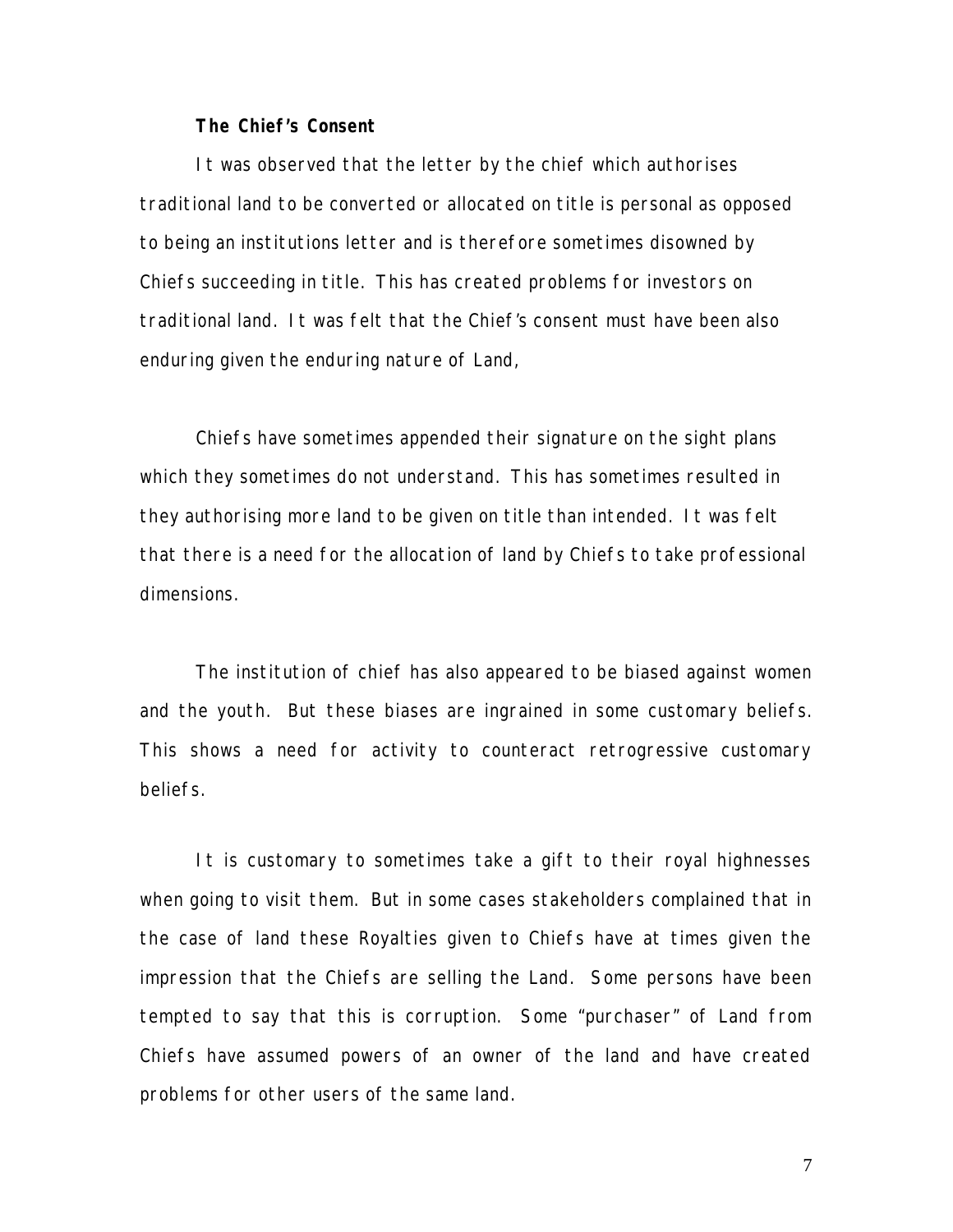## **The Chief's Consent**

It was observed that the letter by the chief which authorises traditional land to be converted or allocated on title is personal as opposed to being an institutions letter and is therefore sometimes disowned by Chiefs succeeding in title. This has created problems for investors on traditional land. It was felt that the Chief's consent must have been also enduring given the enduring nature of Land,

Chiefs have sometimes appended their signature on the sight plans which they sometimes do not understand. This has sometimes resulted in they authorising more land to be given on title than intended. It was felt that there is a need for the allocation of land by Chiefs to take professional dimensions.

The institution of chief has also appeared to be biased against women and the youth. But these biases are ingrained in some customary beliefs. This shows a need for activity to counteract retrogressive customary beliefs.

It is customary to sometimes take a gift to their royal highnesses when going to visit them. But in some cases stakeholders complained that in the case of land these Royalties given to Chiefs have at times given the impression that the Chiefs are selling the Land. Some persons have been tempted to say that this is corruption. Some "purchaser" of Land from Chiefs have assumed powers of an owner of the land and have created problems for other users of the same land.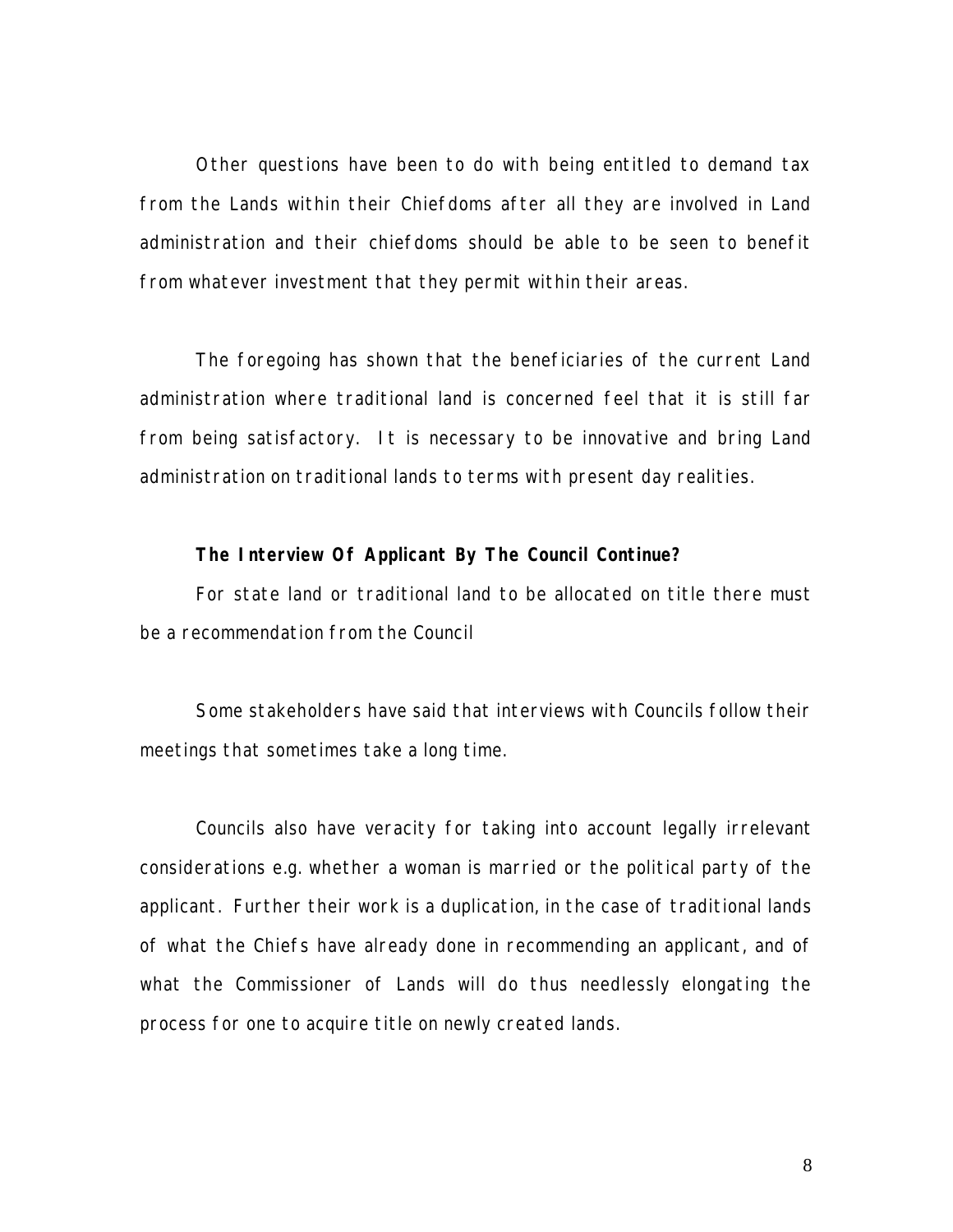Other questions have been to do with being entitled to demand tax from the Lands within their Chiefdoms after all they are involved in Land administration and their chiefdoms should be able to be seen to benefit from whatever investment that they permit within their areas.

The foregoing has shown that the beneficiaries of the current Land administration where traditional land is concerned feel that it is still far from being satisfactory. It is necessary to be innovative and bring Land administration on traditional lands to terms with present day realities.

**The Interview Of Applicant By The Council Continue?** 

For state land or traditional land to be allocated on title there must be a recommendation from the Council

Some stakeholders have said that interviews with Councils follow their meetings that sometimes take a long time.

Councils also have veracity for taking into account legally irrelevant considerations e.g. whether a woman is married or the political party of the applicant. Further their work is a duplication, in the case of traditional lands of what the Chiefs have already done in recommending an applicant, and of what the Commissioner of Lands will do thus needlessly elongating the process for one to acquire title on newly created lands.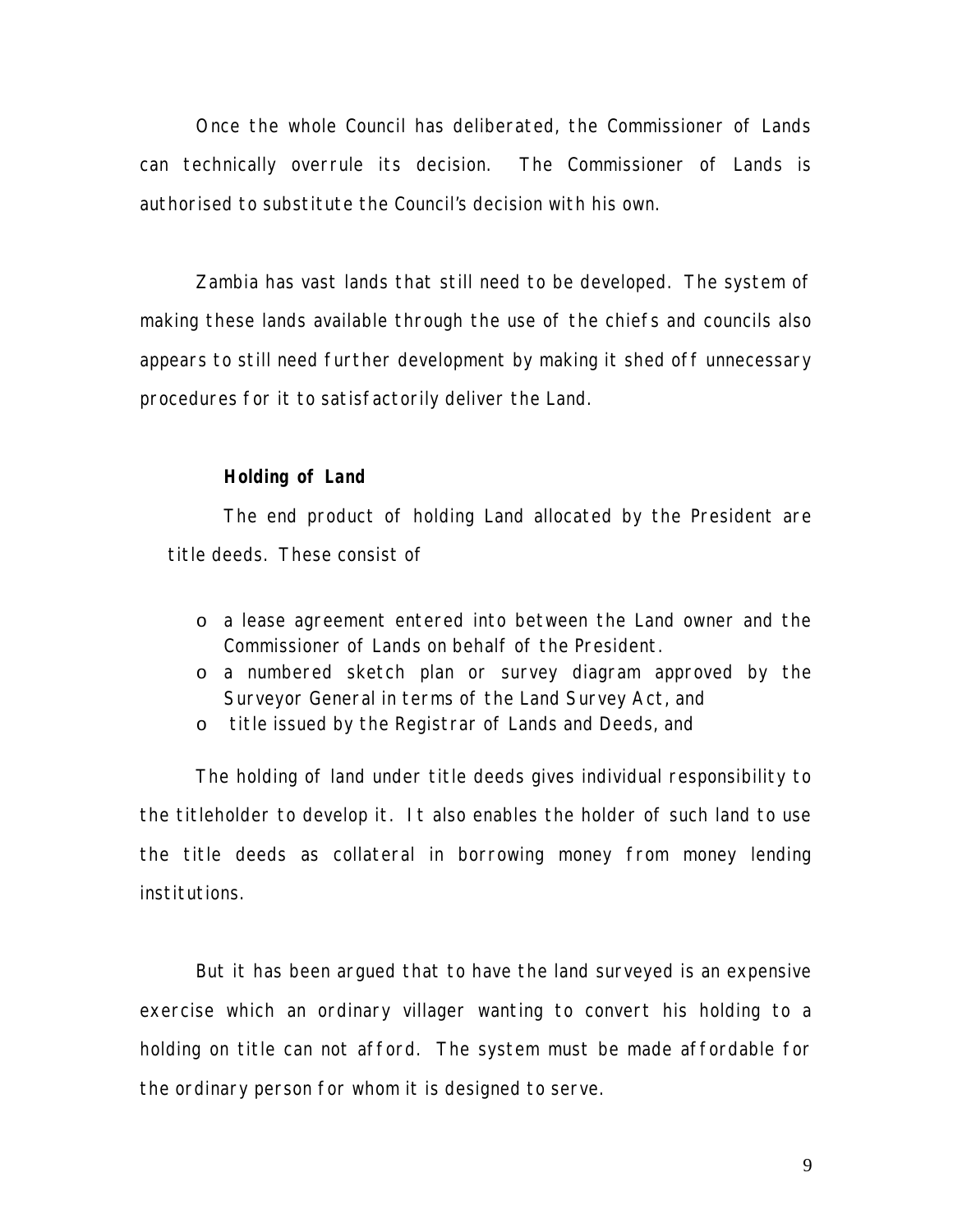Once the whole Council has deliberated, the Commissioner of Lands can technically overrule its decision. The Commissioner of Lands is authorised to substitute the Council's decision with his own.

Zambia has vast lands that still need to be developed. The system of making these lands available through the use of the chiefs and councils also appears to still need further development by making it shed off unnecessary procedures for it to satisfactorily deliver the Land.

## **Holding of Land**

The end product of holding Land allocated by the President are title deeds. These consist of

- o a lease agreement entered into between the Land owner and the Commissioner of Lands on behalf of the President.
- o a numbered sketch plan or survey diagram approved by the Surveyor General in terms of the Land Survey Act, and
- o title issued by the Registrar of Lands and Deeds, and

The holding of land under title deeds gives individual responsibility to the titleholder to develop it. It also enables the holder of such land to use the title deeds as collateral in borrowing money from money lending institutions.

But it has been argued that to have the land surveyed is an expensive exercise which an ordinary villager wanting to convert his holding to a holding on title can not afford. The system must be made affordable for the ordinary person for whom it is designed to serve.